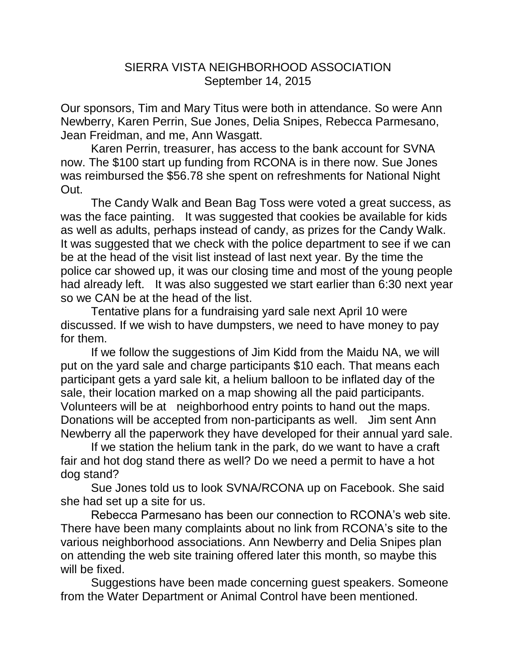## SIERRA VISTA NEIGHBORHOOD ASSOCIATION September 14, 2015

Our sponsors, Tim and Mary Titus were both in attendance. So were Ann Newberry, Karen Perrin, Sue Jones, Delia Snipes, Rebecca Parmesano, Jean Freidman, and me, Ann Wasgatt.

Karen Perrin, treasurer, has access to the bank account for SVNA now. The \$100 start up funding from RCONA is in there now. Sue Jones was reimbursed the \$56.78 she spent on refreshments for National Night Out.

The Candy Walk and Bean Bag Toss were voted a great success, as was the face painting. It was suggested that cookies be available for kids as well as adults, perhaps instead of candy, as prizes for the Candy Walk. It was suggested that we check with the police department to see if we can be at the head of the visit list instead of last next year. By the time the police car showed up, it was our closing time and most of the young people had already left. It was also suggested we start earlier than 6:30 next year so we CAN be at the head of the list.

Tentative plans for a fundraising yard sale next April 10 were discussed. If we wish to have dumpsters, we need to have money to pay for them.

If we follow the suggestions of Jim Kidd from the Maidu NA, we will put on the yard sale and charge participants \$10 each. That means each participant gets a yard sale kit, a helium balloon to be inflated day of the sale, their location marked on a map showing all the paid participants. Volunteers will be at neighborhood entry points to hand out the maps. Donations will be accepted from non-participants as well. Jim sent Ann Newberry all the paperwork they have developed for their annual yard sale.

If we station the helium tank in the park, do we want to have a craft fair and hot dog stand there as well? Do we need a permit to have a hot dog stand?

Sue Jones told us to look SVNA/RCONA up on Facebook. She said she had set up a site for us.

Rebecca Parmesano has been our connection to RCONA's web site. There have been many complaints about no link from RCONA's site to the various neighborhood associations. Ann Newberry and Delia Snipes plan on attending the web site training offered later this month, so maybe this will be fixed.

Suggestions have been made concerning guest speakers. Someone from the Water Department or Animal Control have been mentioned.